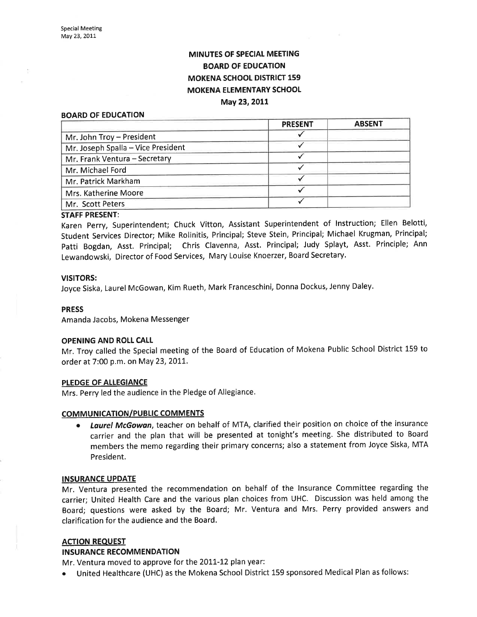# MINUTES OF SPECIAL MEETING BOARD OF EDUCATION MOKENA SCHOOL DISTRICT 159 MOKENA ELEMENTARY SCHOOL May 23, 2011

#### BOARD OF EDUCATION

|                                    | <b>PRESENT</b> | <b>ABSENT</b> |
|------------------------------------|----------------|---------------|
| Mr. John Troy - President          |                |               |
| Mr. Joseph Spalla - Vice President |                |               |
| Mr. Frank Ventura - Secretary      |                |               |
| Mr. Michael Ford                   |                |               |
| Mr. Patrick Markham                |                |               |
| Mrs. Katherine Moore               |                |               |
| Mr. Scott Peters                   |                |               |

#### STAFF PRESENT:

Karen perry, Superintendent; Chuck Vitton, Assistant Superintendent of lnstruction; Ellen Belotti, Student Seruices Director; Mike Rolinitis, Principal; Steve Stein, Principal; Michael Krugman, Principal; patti Bogdan, Asst. Principal; Chris Clavenna, Asst. Principal; Judy Splayt, Asst. Principle; Ann Lewandowski, Director of Food Services, Mary Louise Knoerzer, Board Secretary.

#### VISITORS:

Joyce Siska, Laurel McGowan, Kim Rueth, Mark Franceschini, Donna Dockus, Jenny Daley'

#### PRESS

Amanda Jacobs, Mokena Messenger

#### OPENING AND ROLL CALI

Mr. Troy called the Special meeting of the Board of Education of Mokena Public School District 159 to order at 7:00 p.m. on May 23, 2011.

### PLEDGE OF ALLEGIANCE

Mrs. Perry led the audience in the Pledge of Allegiance.

### COMMUNICATION/PUBLIC COMMENTS

**• Laurel McGowan**, teacher on behalf of MTA, clarified their position on choice of the insurance carrier and the plan that will be presented at tonight's meeting. She distributed to Board members the memo regarding their primary concerns; also a statement from Joyce Siska, MTA President.

#### INSURANCE UPDATE

Mr. Ventura presented the recommendation on behalf of the lnsurance Committee regarding the carrier; United Health Care and the various plan choices from UHC. Discussion was held among the Board; questions were asked by the Board; Mr. Ventura and Mrs. Perry provided answers and clarification for the audience and the Board.

### ACTION REQUEST

### INSURANCE RECOMMENDATION

Mr. Ventura moved to approve for the 2011-12 plan year:

United Healthcare (UHC) as the Mokena School District 159 sponsored Medical Plan as follows: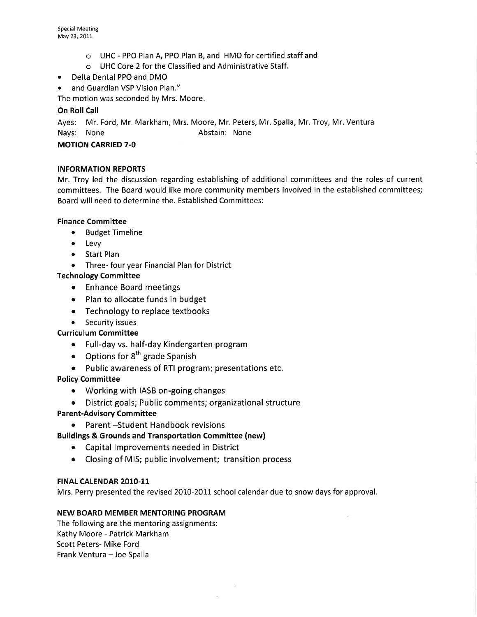- o UHC PPO Plan A, PPO Plan B, and HMO for certified staff and
- o UHC Core 2 for the Classified and Administrative Staff.
- ¡ Delta Dental PPO and DMO
- and Guardian VSP Vision Plan."

The motion was seconded by Mrs. Moore.

# On Roll Call

Ayes: Mr. Ford, Mr. Markham, Mrs. Moore, Mr. Peters, Mr. Spalla, Mr. Troy, Mr. Ventura Nays: None **Abstain:** None

# MOTION CARRIED 7-O

# INFORMATION REPORTS

Mr. Troy led the discussion regarding establishing of additional committees and the roles of current committees. The Board would like more community members involved in the established committees; Board will need to determine the. Established Committees:

# Finance Committee

- **•** Budget Timeline
- . Levy
- Start Plan
- Three- four year Financial Plan for District

# Technology Committee

- Enhance Board meetings
- Plan to allocate funds in budget
- Technology to replace textbooks
- **•** Security issues

# Curriculum Committee

- o Full-day vs. half-day Kindergarten program
- Options for  $8<sup>th</sup>$  grade Spanish
- o Public awareness of RTI program; presentations etc.

# Policy Committee

- o Working with IASB on-going changes
- o District goals; Public comments; organizational structure

# Parent-Advisory Committee

- o Parent -Student Handbook revisions
- Buildings & Grounds and Transportation Committee (new)
	- o Capital lmprovements needed in District
	- o Closing of MIS; public involvement; transition process

# FINAL CALENDAR 2010-11

Mrs. Perry presented the revised 2010-2011 school calendar due to snow days for approval.

# NEW BOARD MEMBER MENTORING PROGRAM

The following are the mentoring assignments: Kathy Moore - Patrick Markham Scott Peters- Mike Ford Frank Ventura - Joe Spalla